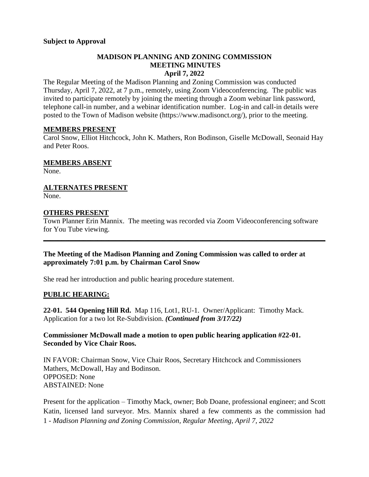### **MADISON PLANNING AND ZONING COMMISSION MEETING MINUTES April 7, 2022**

The Regular Meeting of the Madison Planning and Zoning Commission was conducted Thursday, April 7, 2022, at 7 p.m., remotely, using Zoom Videoconferencing. The public was invited to participate remotely by joining the meeting through a Zoom webinar link password, telephone call-in number, and a webinar identification number. Log-in and call-in details were posted to the Town of Madison website [\(https://www.madisonct.org/\)](https://www.madisonct.org/), prior to the meeting.

### **MEMBERS PRESENT**

Carol Snow, Elliot Hitchcock, John K. Mathers, Ron Bodinson, Giselle McDowall, Seonaid Hay and Peter Roos.

**MEMBERS ABSENT**

None.

**ALTERNATES PRESENT** None.

## **OTHERS PRESENT**

Town Planner Erin Mannix. The meeting was recorded via Zoom Videoconferencing software for You Tube viewing.

**\_\_\_\_\_\_\_\_\_\_\_\_\_\_\_\_\_\_\_\_\_\_\_\_\_\_\_\_\_\_\_\_\_\_\_\_\_\_\_\_\_\_\_\_\_\_\_\_\_\_\_\_\_\_\_\_\_\_\_\_\_\_\_\_\_\_\_\_\_\_\_\_\_\_\_\_\_\_**

### **The Meeting of the Madison Planning and Zoning Commission was called to order at approximately 7:01 p.m. by Chairman Carol Snow**

She read her introduction and public hearing procedure statement.

## **PUBLIC HEARING:**

**22-01. 544 Opening Hill Rd.** Map 116, Lot1, RU-1. Owner/Applicant: Timothy Mack. Application for a two lot Re-Subdivision. *(Continued from 3/17/22)*

## **Commissioner McDowall made a motion to open public hearing application #22-01. Seconded by Vice Chair Roos.**

IN FAVOR: Chairman Snow, Vice Chair Roos, Secretary Hitchcock and Commissioners Mathers, McDowall, Hay and Bodinson. OPPOSED: None ABSTAINED: None

1 - *Madison Planning and Zoning Commission, Regular Meeting, April 7, 2022* Present for the application – Timothy Mack, owner; Bob Doane, professional engineer; and Scott Katin, licensed land surveyor. Mrs. Mannix shared a few comments as the commission had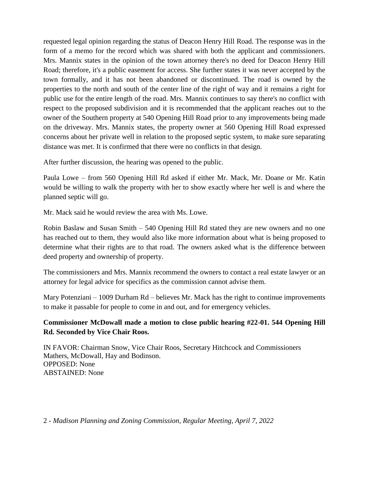requested legal opinion regarding the status of Deacon Henry Hill Road. The response was in the form of a memo for the record which was shared with both the applicant and commissioners. Mrs. Mannix states in the opinion of the town attorney there's no deed for Deacon Henry Hill Road; therefore, it's a public easement for access. She further states it was never accepted by the town formally, and it has not been abandoned or discontinued. The road is owned by the properties to the north and south of the center line of the right of way and it remains a right for public use for the entire length of the road. Mrs. Mannix continues to say there's no conflict with respect to the proposed subdivision and it is recommended that the applicant reaches out to the owner of the Southern property at 540 Opening Hill Road prior to any improvements being made on the driveway. Mrs. Mannix states, the property owner at 560 Opening Hill Road expressed concerns about her private well in relation to the proposed septic system, to make sure separating distance was met. It is confirmed that there were no conflicts in that design.

After further discussion, the hearing was opened to the public.

Paula Lowe – from 560 Opening Hill Rd asked if either Mr. Mack, Mr. Doane or Mr. Katin would be willing to walk the property with her to show exactly where her well is and where the planned septic will go.

Mr. Mack said he would review the area with Ms. Lowe.

Robin Baslaw and Susan Smith – 540 Opening Hill Rd stated they are new owners and no one has reached out to them, they would also like more information about what is being proposed to determine what their rights are to that road. The owners asked what is the difference between deed property and ownership of property.

The commissioners and Mrs. Mannix recommend the owners to contact a real estate lawyer or an attorney for legal advice for specifics as the commission cannot advise them.

Mary Potenziani – 1009 Durham Rd – believes Mr. Mack has the right to continue improvements to make it passable for people to come in and out, and for emergency vehicles.

# **Commissioner McDowall made a motion to close public hearing #22-01. 544 Opening Hill Rd. Seconded by Vice Chair Roos.**

IN FAVOR: Chairman Snow, Vice Chair Roos, Secretary Hitchcock and Commissioners Mathers, McDowall, Hay and Bodinson. OPPOSED: None ABSTAINED: None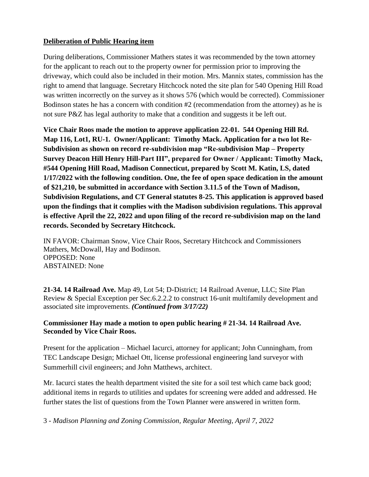# **Deliberation of Public Hearing item**

During deliberations, Commissioner Mathers states it was recommended by the town attorney for the applicant to reach out to the property owner for permission prior to improving the driveway, which could also be included in their motion. Mrs. Mannix states, commission has the right to amend that language. Secretary Hitchcock noted the site plan for 540 Opening Hill Road was written incorrectly on the survey as it shows 576 (which would be corrected). Commissioner Bodinson states he has a concern with condition #2 (recommendation from the attorney) as he is not sure P&Z has legal authority to make that a condition and suggests it be left out.

**Vice Chair Roos made the motion to approve application 22-01. 544 Opening Hill Rd. Map 116, Lot1, RU-1. Owner/Applicant: Timothy Mack. Application for a two lot Re-Subdivision as shown on record re-subdivision map "Re-subdivision Map – Property Survey Deacon Hill Henry Hill-Part III", prepared for Owner / Applicant: Timothy Mack, #544 Opening Hill Road, Madison Connecticut, prepared by Scott M. Katin, LS, dated 1/17/2022 with the following condition. One, the fee of open space dedication in the amount of \$21,210, be submitted in accordance with Section 3.11.5 of the Town of Madison, Subdivision Regulations, and CT General statutes 8-25. This application is approved based upon the findings that it complies with the Madison subdivision regulations. This approval is effective April the 22, 2022 and upon filing of the record re-subdivision map on the land records. Seconded by Secretary Hitchcock.** 

IN FAVOR: Chairman Snow, Vice Chair Roos, Secretary Hitchcock and Commissioners Mathers, McDowall, Hay and Bodinson. OPPOSED: None ABSTAINED: None

**21-34. 14 Railroad Ave.** Map 49, Lot 54; D-District; 14 Railroad Avenue, LLC; Site Plan Review & Special Exception per Sec.6.2.2.2 to construct 16-unit multifamily development and associated site improvements. *(Continued from 3/17/22)*

## **Commissioner Hay made a motion to open public hearing # 21-34. 14 Railroad Ave. Seconded by Vice Chair Roos.**

Present for the application – Michael Iacurci, attorney for applicant; John Cunningham, from TEC Landscape Design; Michael Ott, license professional engineering land surveyor with Summerhill civil engineers; and John Matthews, architect.

Mr. Iacurci states the health department visited the site for a soil test which came back good; additional items in regards to utilities and updates for screening were added and addressed. He further states the list of questions from the Town Planner were answered in written form.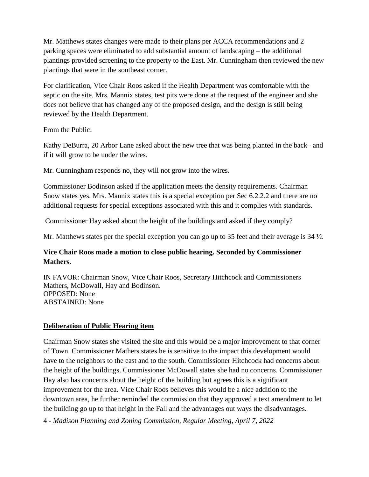Mr. Matthews states changes were made to their plans per ACCA recommendations and 2 parking spaces were eliminated to add substantial amount of landscaping – the additional plantings provided screening to the property to the East. Mr. Cunningham then reviewed the new plantings that were in the southeast corner.

For clarification, Vice Chair Roos asked if the Health Department was comfortable with the septic on the site. Mrs. Mannix states, test pits were done at the request of the engineer and she does not believe that has changed any of the proposed design, and the design is still being reviewed by the Health Department.

From the Public:

Kathy DeBurra, 20 Arbor Lane asked about the new tree that was being planted in the back– and if it will grow to be under the wires.

Mr. Cunningham responds no, they will not grow into the wires.

Commissioner Bodinson asked if the application meets the density requirements. Chairman Snow states yes. Mrs. Mannix states this is a special exception per Sec 6.2.2.2 and there are no additional requests for special exceptions associated with this and it complies with standards.

Commissioner Hay asked about the height of the buildings and asked if they comply?

Mr. Matthews states per the special exception you can go up to 35 feet and their average is 34  $\frac{1}{2}$ .

# **Vice Chair Roos made a motion to close public hearing. Seconded by Commissioner Mathers.**

IN FAVOR: Chairman Snow, Vice Chair Roos, Secretary Hitchcock and Commissioners Mathers, McDowall, Hay and Bodinson. OPPOSED: None ABSTAINED: None

## **Deliberation of Public Hearing item**

Chairman Snow states she visited the site and this would be a major improvement to that corner of Town. Commissioner Mathers states he is sensitive to the impact this development would have to the neighbors to the east and to the south. Commissioner Hitchcock had concerns about the height of the buildings. Commissioner McDowall states she had no concerns. Commissioner Hay also has concerns about the height of the building but agrees this is a significant improvement for the area. Vice Chair Roos believes this would be a nice addition to the downtown area, he further reminded the commission that they approved a text amendment to let the building go up to that height in the Fall and the advantages out ways the disadvantages.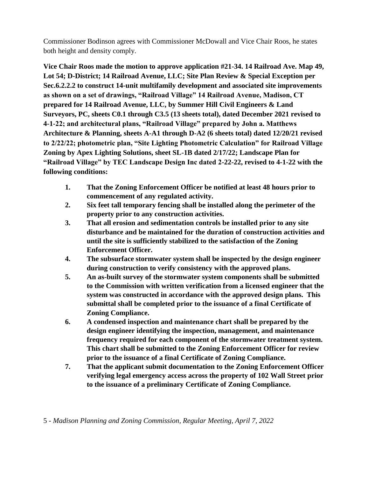Commissioner Bodinson agrees with Commissioner McDowall and Vice Chair Roos, he states both height and density comply.

**Vice Chair Roos made the motion to approve application #21-34. 14 Railroad Ave. Map 49, Lot 54; D-District; 14 Railroad Avenue, LLC; Site Plan Review & Special Exception per Sec.6.2.2.2 to construct 14-unit multifamily development and associated site improvements as shown on a set of drawings, "Railroad Village" 14 Railroad Avenue, Madison, CT prepared for 14 Railroad Avenue, LLC, by Summer Hill Civil Engineers & Land Surveyors, PC, sheets C0.1 through C3.5 (13 sheets total), dated December 2021 revised to 4-1-22; and architectural plans, "Railroad Village" prepared by John a. Matthews Architecture & Planning, sheets A-A1 through D-A2 (6 sheets total) dated 12/20/21 revised to 2/22/22; photometric plan, "Site Lighting Photometric Calculation" for Railroad Village Zoning by Apex Lighting Solutions, sheet SL-1B dated 2/17/22; Landscape Plan for "Railroad Village" by TEC Landscape Design Inc dated 2-22-22, revised to 4-1-22 with the following conditions:**

- **1. That the Zoning Enforcement Officer be notified at least 48 hours prior to commencement of any regulated activity.**
- **2. Six feet tall temporary fencing shall be installed along the perimeter of the property prior to any construction activities.**
- **3. That all erosion and sedimentation controls be installed prior to any site disturbance and be maintained for the duration of construction activities and until the site is sufficiently stabilized to the satisfaction of the Zoning Enforcement Officer.**
- **4. The subsurface stormwater system shall be inspected by the design engineer during construction to verify consistency with the approved plans.**
- **5. An as-built survey of the stormwater system components shall be submitted to the Commission with written verification from a licensed engineer that the system was constructed in accordance with the approved design plans. This submittal shall be completed prior to the issuance of a final Certificate of Zoning Compliance.**
- **6. A condensed inspection and maintenance chart shall be prepared by the design engineer identifying the inspection, management, and maintenance frequency required for each component of the stormwater treatment system. This chart shall be submitted to the Zoning Enforcement Officer for review prior to the issuance of a final Certificate of Zoning Compliance.**
- **7. That the applicant submit documentation to the Zoning Enforcement Officer verifying legal emergency access across the property of 102 Wall Street prior to the issuance of a preliminary Certificate of Zoning Compliance.**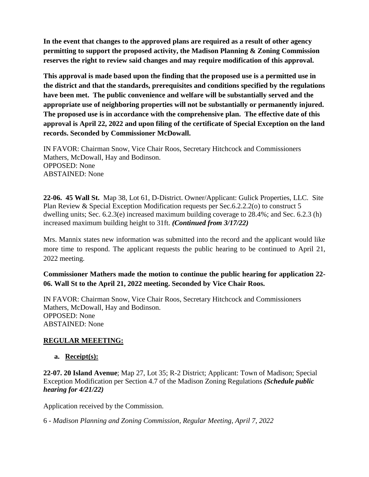**In the event that changes to the approved plans are required as a result of other agency permitting to support the proposed activity, the Madison Planning & Zoning Commission reserves the right to review said changes and may require modification of this approval.** 

**This approval is made based upon the finding that the proposed use is a permitted use in the district and that the standards, prerequisites and conditions specified by the regulations have been met. The public convenience and welfare will be substantially served and the appropriate use of neighboring properties will not be substantially or permanently injured. The proposed use is in accordance with the comprehensive plan. The effective date of this approval is April 22, 2022 and upon filing of the certificate of Special Exception on the land records. Seconded by Commissioner McDowall.**

IN FAVOR: Chairman Snow, Vice Chair Roos, Secretary Hitchcock and Commissioners Mathers, McDowall, Hay and Bodinson. OPPOSED: None ABSTAINED: None

**22-06. 45 Wall St.** Map 38, Lot 61, D-District. Owner/Applicant: Gulick Properties, LLC. Site Plan Review & Special Exception Modification requests per Sec.6.2.2.2(o) to construct 5 dwelling units; Sec. 6.2.3(e) increased maximum building coverage to 28.4%; and Sec. 6.2.3 (h) increased maximum building height to 31ft. *(Continued from 3/17/22)*

Mrs. Mannix states new information was submitted into the record and the applicant would like more time to respond. The applicant requests the public hearing to be continued to April 21, 2022 meeting.

**Commissioner Mathers made the motion to continue the public hearing for application 22- 06. Wall St to the April 21, 2022 meeting. Seconded by Vice Chair Roos.**

IN FAVOR: Chairman Snow, Vice Chair Roos, Secretary Hitchcock and Commissioners Mathers, McDowall, Hay and Bodinson. OPPOSED: None ABSTAINED: None

## **REGULAR MEEETING:**

**a. Receipt(s):**

**22-07. 20 Island Avenue**; Map 27, Lot 35; R-2 District; Applicant: Town of Madison; Special Exception Modification per Section 4.7 of the Madison Zoning Regulations *(Schedule public hearing for 4/21/22)*

Application received by the Commission.